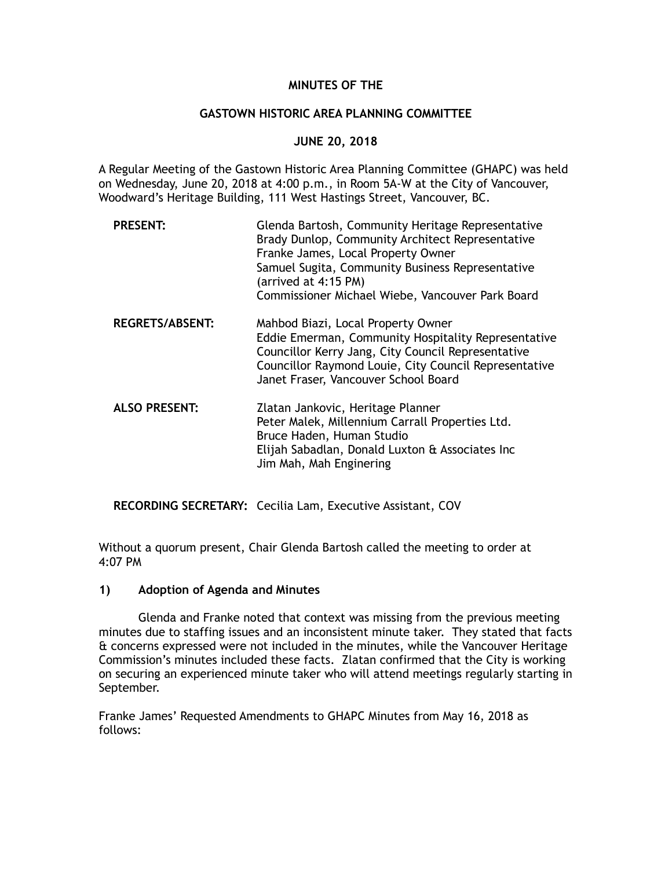## **MINUTES OF THE**

#### **GASTOWN HISTORIC AREA PLANNING COMMITTEE**

### **JUNE 20, 2018**

A Regular Meeting of the Gastown Historic Area Planning Committee (GHAPC) was held on Wednesday, June 20, 2018 at 4:00 p.m., in Room 5A-W at the City of Vancouver, Woodward's Heritage Building, 111 West Hastings Street, Vancouver, BC.

| <b>PRESENT:</b>        | Glenda Bartosh, Community Heritage Representative<br>Brady Dunlop, Community Architect Representative<br>Franke James, Local Property Owner<br>Samuel Sugita, Community Business Representative<br>(arrived at 4:15 PM)<br>Commissioner Michael Wiebe, Vancouver Park Board |
|------------------------|-----------------------------------------------------------------------------------------------------------------------------------------------------------------------------------------------------------------------------------------------------------------------------|
| <b>REGRETS/ABSENT:</b> | Mahbod Biazi, Local Property Owner<br>Eddie Emerman, Community Hospitality Representative<br>Councillor Kerry Jang, City Council Representative<br>Councillor Raymond Louie, City Council Representative<br>Janet Fraser, Vancouver School Board                            |
| <b>ALSO PRESENT:</b>   | Zlatan Jankovic, Heritage Planner<br>Peter Malek, Millennium Carrall Properties Ltd.<br>Bruce Haden, Human Studio<br>Elijah Sabadlan, Donald Luxton & Associates Inc<br>Jim Mah, Mah Enginering                                                                             |

**RECORDING SECRETARY:** Cecilia Lam, Executive Assistant, COV

Without a quorum present, Chair Glenda Bartosh called the meeting to order at 4:07 PM

#### **1) Adoption of Agenda and Minutes**

Glenda and Franke noted that context was missing from the previous meeting minutes due to staffing issues and an inconsistent minute taker. They stated that facts & concerns expressed were not included in the minutes, while the Vancouver Heritage Commission's minutes included these facts. Zlatan confirmed that the City is working on securing an experienced minute taker who will attend meetings regularly starting in September.

Franke James' Requested Amendments to GHAPC Minutes from May 16, 2018 as follows: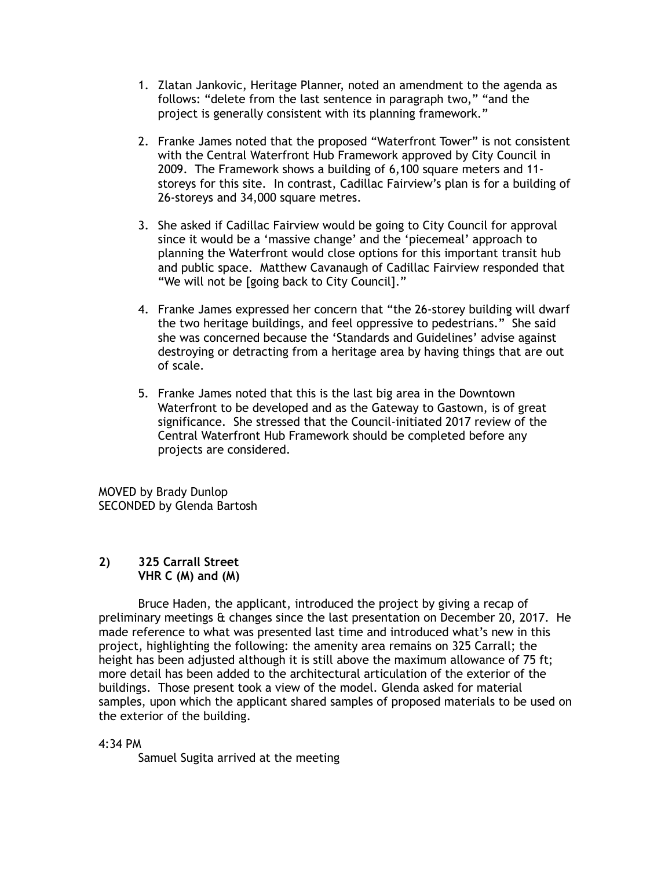- 1. Zlatan Jankovic, Heritage Planner, noted an amendment to the agenda as follows: "delete from the last sentence in paragraph two," "and the project is generally consistent with its planning framework."
- 2. Franke James noted that the proposed "Waterfront Tower" is not consistent with the Central Waterfront Hub Framework approved by City Council in 2009. The Framework shows a building of 6,100 square meters and 11 storeys for this site. In contrast, Cadillac Fairview's plan is for a building of 26-storeys and 34,000 square metres.
- 3. She asked if Cadillac Fairview would be going to City Council for approval since it would be a 'massive change' and the 'piecemeal' approach to planning the Waterfront would close options for this important transit hub and public space. Matthew Cavanaugh of Cadillac Fairview responded that "We will not be [going back to City Council]."
- 4. Franke James expressed her concern that "the 26-storey building will dwarf the two heritage buildings, and feel oppressive to pedestrians." She said she was concerned because the 'Standards and Guidelines' advise against destroying or detracting from a heritage area by having things that are out of scale.
- 5. Franke James noted that this is the last big area in the Downtown Waterfront to be developed and as the Gateway to Gastown, is of great significance. She stressed that the Council-initiated 2017 review of the Central Waterfront Hub Framework should be completed before any projects are considered.

MOVED by Brady Dunlop SECONDED by Glenda Bartosh

#### **2) 325 Carrall Street VHR C (M) and (M)**

Bruce Haden, the applicant, introduced the project by giving a recap of preliminary meetings & changes since the last presentation on December 20, 2017. He made reference to what was presented last time and introduced what's new in this project, highlighting the following: the amenity area remains on 325 Carrall; the height has been adjusted although it is still above the maximum allowance of 75 ft; more detail has been added to the architectural articulation of the exterior of the buildings. Those present took a view of the model. Glenda asked for material samples, upon which the applicant shared samples of proposed materials to be used on the exterior of the building.

#### 4:34 PM

Samuel Sugita arrived at the meeting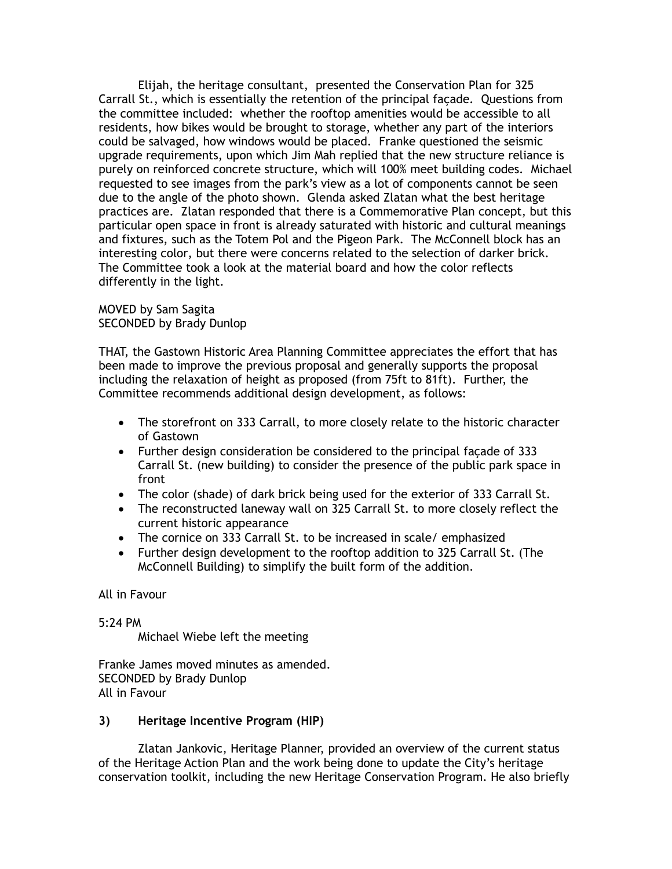Elijah, the heritage consultant, presented the Conservation Plan for 325 Carrall St., which is essentially the retention of the principal façade. Questions from the committee included: whether the rooftop amenities would be accessible to all residents, how bikes would be brought to storage, whether any part of the interiors could be salvaged, how windows would be placed. Franke questioned the seismic upgrade requirements, upon which Jim Mah replied that the new structure reliance is purely on reinforced concrete structure, which will 100% meet building codes. Michael requested to see images from the park's view as a lot of components cannot be seen due to the angle of the photo shown. Glenda asked Zlatan what the best heritage practices are. Zlatan responded that there is a Commemorative Plan concept, but this particular open space in front is already saturated with historic and cultural meanings and fixtures, such as the Totem Pol and the Pigeon Park. The McConnell block has an interesting color, but there were concerns related to the selection of darker brick. The Committee took a look at the material board and how the color reflects differently in the light.

MOVED by Sam Sagita SECONDED by Brady Dunlop

THAT, the Gastown Historic Area Planning Committee appreciates the effort that has been made to improve the previous proposal and generally supports the proposal including the relaxation of height as proposed (from 75ft to 81ft). Further, the Committee recommends additional design development, as follows:

- The storefront on 333 Carrall, to more closely relate to the historic character of Gastown
- Further design consideration be considered to the principal façade of 333 Carrall St. (new building) to consider the presence of the public park space in front
- The color (shade) of dark brick being used for the exterior of 333 Carrall St.
- The reconstructed laneway wall on 325 Carrall St. to more closely reflect the current historic appearance
- The cornice on 333 Carrall St. to be increased in scale/ emphasized
- Further design development to the rooftop addition to 325 Carrall St. (The McConnell Building) to simplify the built form of the addition.

All in Favour

5:24 PM

Michael Wiebe left the meeting

Franke James moved minutes as amended. SECONDED by Brady Dunlop All in Favour

# **3) Heritage Incentive Program (HIP)**

Zlatan Jankovic, Heritage Planner, provided an overview of the current status of the Heritage Action Plan and the work being done to update the City's heritage conservation toolkit, including the new Heritage Conservation Program. He also briefly